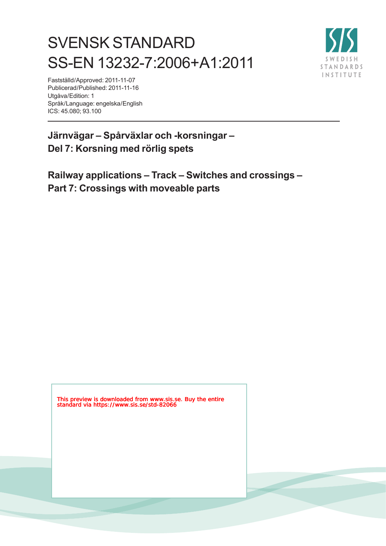# SVENSK STANDARD SS-EN 13232-7:2006+A1:2011



Fastställd/Approved: 2011-11-07 Publicerad/Published: 2011-11-16 Utgåva/Edition: 1 Språk/Language: engelska/English ICS: 45.080; 93.100

**Järnvägar – Spårväxlar och -korsningar – Del 7: Korsning med rörlig spets**

**Railway applications – Track – Switches and crossings – Part 7: Crossings with moveable parts**

This preview is downloaded from www.sis.se. Buy the entire standard via https://www.sis.se/std-82066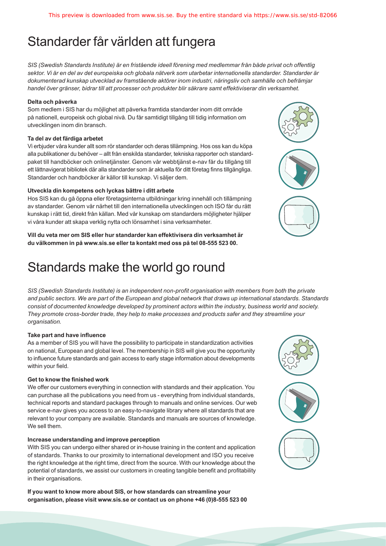## Standarder får världen att fungera

*SIS (Swedish Standards Institute) är en fristående ideell förening med medlemmar från både privat och offentlig sektor. Vi är en del av det europeiska och globala nätverk som utarbetar internationella standarder. Standarder är dokumenterad kunskap utvecklad av framstående aktörer inom industri, näringsliv och samhälle och befrämjar handel över gränser, bidrar till att processer och produkter blir säkrare samt effektiviserar din verksamhet.* 

#### **Delta och påverka**

Som medlem i SIS har du möjlighet att påverka framtida standarder inom ditt område på nationell, europeisk och global nivå. Du får samtidigt tillgång till tidig information om utvecklingen inom din bransch.

### **Ta del av det färdiga arbetet**

Vi erbjuder våra kunder allt som rör standarder och deras tillämpning. Hos oss kan du köpa alla publikationer du behöver – allt från enskilda standarder, tekniska rapporter och standardpaket till handböcker och onlinetjänster. Genom vår webbtjänst e-nav får du tillgång till ett lättnavigerat bibliotek där alla standarder som är aktuella för ditt företag finns tillgängliga. Standarder och handböcker är källor till kunskap. Vi säljer dem.

#### **Utveckla din kompetens och lyckas bättre i ditt arbete**

Hos SIS kan du gå öppna eller företagsinterna utbildningar kring innehåll och tillämpning av standarder. Genom vår närhet till den internationella utvecklingen och ISO får du rätt kunskap i rätt tid, direkt från källan. Med vår kunskap om standarders möjligheter hjälper vi våra kunder att skapa verklig nytta och lönsamhet i sina verksamheter.

**Vill du veta mer om SIS eller hur standarder kan effektivisera din verksamhet är du välkommen in på www.sis.se eller ta kontakt med oss på tel 08-555 523 00.**

## Standards make the world go round

*SIS (Swedish Standards Institute) is an independent non-profit organisation with members from both the private and public sectors. We are part of the European and global network that draws up international standards. Standards consist of documented knowledge developed by prominent actors within the industry, business world and society. They promote cross-border trade, they help to make processes and products safer and they streamline your organisation.*

#### **Take part and have influence**

As a member of SIS you will have the possibility to participate in standardization activities on national, European and global level. The membership in SIS will give you the opportunity to influence future standards and gain access to early stage information about developments within your field.

### **Get to know the finished work**

We offer our customers everything in connection with standards and their application. You can purchase all the publications you need from us - everything from individual standards, technical reports and standard packages through to manuals and online services. Our web service e-nav gives you access to an easy-to-navigate library where all standards that are relevant to your company are available. Standards and manuals are sources of knowledge. We sell them.

#### **Increase understanding and improve perception**

With SIS you can undergo either shared or in-house training in the content and application of standards. Thanks to our proximity to international development and ISO you receive the right knowledge at the right time, direct from the source. With our knowledge about the potential of standards, we assist our customers in creating tangible benefit and profitability in their organisations.

**If you want to know more about SIS, or how standards can streamline your organisation, please visit www.sis.se or contact us on phone +46 (0)8-555 523 00**



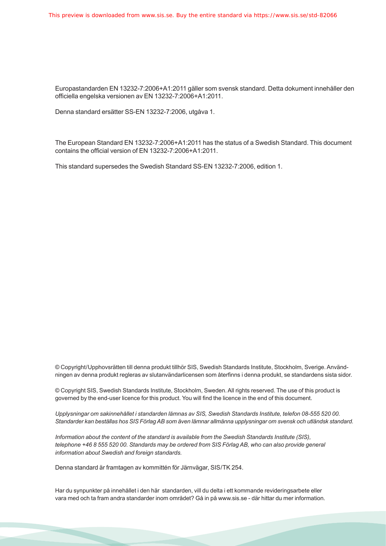Europastandarden EN 13232-7:2006+A1:2011 gäller som svensk standard. Detta dokument innehåller den officiella engelska versionen av EN 13232-7:2006+A1:2011.

Denna standard ersätter SS-EN 13232-7:2006, utgåva 1.

The European Standard EN 13232-7:2006+A1:2011 has the status of a Swedish Standard. This document contains the official version of EN 13232-7:2006+A1:2011.

This standard supersedes the Swedish Standard SS-EN 13232-7:2006, edition 1.

© Copyright/Upphovsrätten till denna produkt tillhör SIS, Swedish Standards Institute, Stockholm, Sverige. Användningen av denna produkt regleras av slutanvändarlicensen som återfinns i denna produkt, se standardens sista sidor.

© Copyright SIS, Swedish Standards Institute, Stockholm, Sweden. All rights reserved. The use of this product is governed by the end-user licence for this product. You will find the licence in the end of this document.

*Upplysningar om sakinnehållet i standarden lämnas av SIS, Swedish Standards Institute, telefon 08-555 520 00. Standarder kan beställas hos SIS Förlag AB som även lämnar allmänna upplysningar om svensk och utländsk standard.*

*Information about the content of the standard is available from the Swedish Standards Institute (SIS), telephone +46 8 555 520 00. Standards may be ordered from SIS Förlag AB, who can also provide general information about Swedish and foreign standards.*

Denna standard är framtagen av kommittén för Järnvägar, SIS/TK 254.

Har du synpunkter på innehållet i den här standarden, vill du delta i ett kommande revideringsarbete eller vara med och ta fram andra standarder inom området? Gå in på www.sis.se - där hittar du mer information.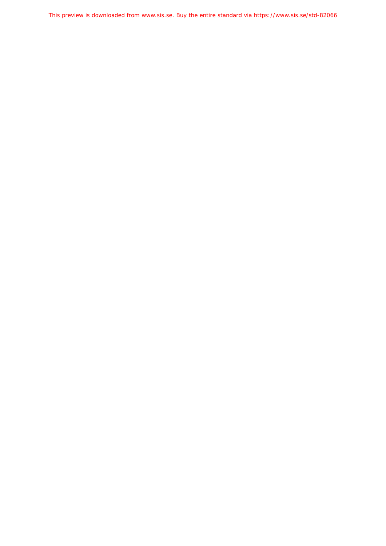This preview is downloaded from www.sis.se. Buy the entire standard via https://www.sis.se/std-82066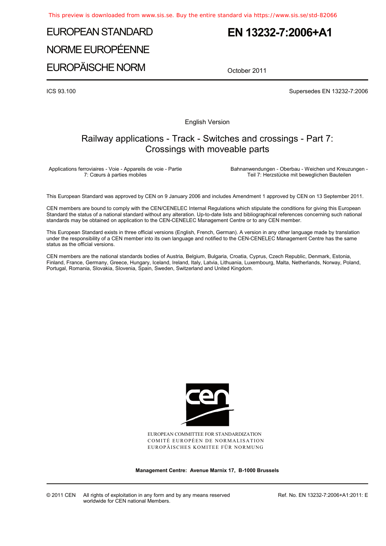## EUROPEAN STANDARD NORME EUROPÉENNE EUROPÄISCHE NORM

## **EN 13232-7:2006+A1**

October 2011

ICS 93.100 Supersedes EN 13232-7:2006

English Version

### Railway applications - Track - Switches and crossings - Part 7: Crossings with moveable parts

Applications ferroviaires - Voie - Appareils de voie - Partie 7: Cœurs à parties mobiles

 Bahnanwendungen - Oberbau - Weichen und Kreuzungen - Teil 7: Herzstücke mit beweglichen Bauteilen

This European Standard was approved by CEN on 9 January 2006 and includes Amendment 1 approved by CEN on 13 September 2011.

CEN members are bound to comply with the CEN/CENELEC Internal Regulations which stipulate the conditions for giving this European Standard the status of a national standard without any alteration. Up-to-date lists and bibliographical references concerning such national standards may be obtained on application to the CEN-CENELEC Management Centre or to any CEN member.

This European Standard exists in three official versions (English, French, German). A version in any other language made by translation under the responsibility of a CEN member into its own language and notified to the CEN-CENELEC Management Centre has the same status as the official versions.

CEN members are the national standards bodies of Austria, Belgium, Bulgaria, Croatia, Cyprus, Czech Republic, Denmark, Estonia, Finland, France, Germany, Greece, Hungary, Iceland, Ireland, Italy, Latvia, Lithuania, Luxembourg, Malta, Netherlands, Norway, Poland, Portugal, Romania, Slovakia, Slovenia, Spain, Sweden, Switzerland and United Kingdom.



EUROPEAN COMMITTEE FOR STANDARDIZATION COMITÉ EUROPÉEN DE NORMALISATION EUROPÄISCHES KOMITEE FÜR NORMUNG

**Management Centre: Avenue Marnix 17, B-1000 Brussels**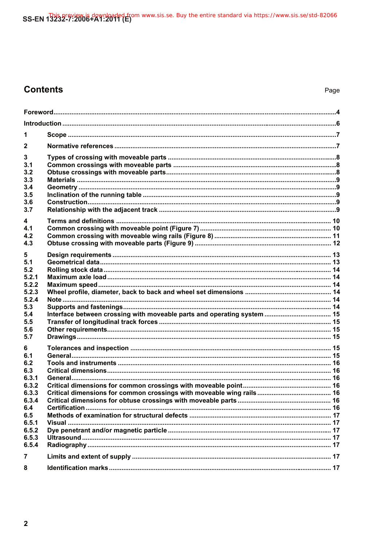SS-EN 13232-7:2006+A1:2011 (E) www.sis.se. Buy the entire standard via https://www.sis.se/std-82066

### **Contents**

| 1                                                  |  |  |
|----------------------------------------------------|--|--|
| $\mathbf{2}$                                       |  |  |
| 3<br>3.1<br>3.2<br>3.3<br>3.4<br>3.5<br>3.6<br>3.7 |  |  |
| 4                                                  |  |  |
| 4.1<br>4.2                                         |  |  |
| 4.3                                                |  |  |
| 5                                                  |  |  |
| 5.1                                                |  |  |
| 5.2<br>5.2.1                                       |  |  |
| 5.2.2                                              |  |  |
| 5.2.3                                              |  |  |
| 5.2.4                                              |  |  |
| 5.3                                                |  |  |
| 5.4                                                |  |  |
| 5.5                                                |  |  |
| 5.6<br>5.7                                         |  |  |
|                                                    |  |  |
| 6<br>6.1                                           |  |  |
| 6.2                                                |  |  |
| 6.3                                                |  |  |
| 6.3.1                                              |  |  |
| 6.3.2                                              |  |  |
| 6.3.3                                              |  |  |
| 6.3.4                                              |  |  |
| 6.4                                                |  |  |
| 6.5<br>6.5.1                                       |  |  |
| 6.5.2                                              |  |  |
| 6.5.3                                              |  |  |
| 6.5.4                                              |  |  |
| $\overline{7}$                                     |  |  |
| 8                                                  |  |  |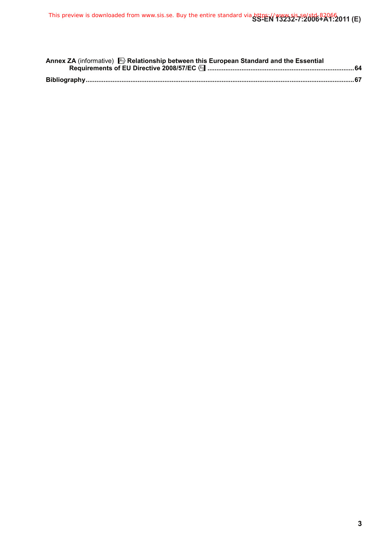| Annex ZA (informative) $\mathbb{A}_1$ ) Relationship between this European Standard and the Essential |  |
|-------------------------------------------------------------------------------------------------------|--|
|                                                                                                       |  |
|                                                                                                       |  |
|                                                                                                       |  |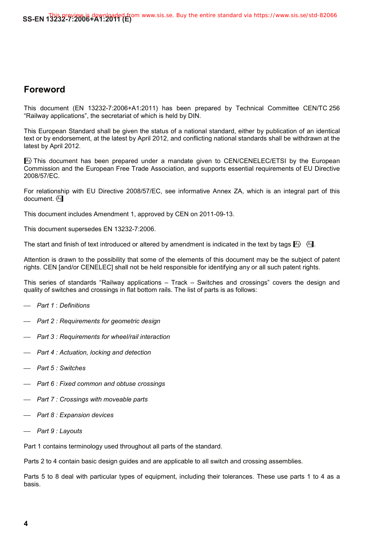### **Foreword**

This document (EN 13232-7:2006+A1:2011) has been prepared by Technical Committee CEN/TC 256 "Railway applications", the secretariat of which is held by DIN.

This European Standard shall be given the status of a national standard, either by publication of an identical text or by endorsement, at the latest by April 2012, and conflicting national standards shall be withdrawn at the latest by April 2012.

 $\mathbb{A}$ ) This document has been prepared under a mandate given to CEN/CENELEC/ETSI by the European Commission and the European Free Trade Association, and supports essential requirements of EU Directive 2008/57/EC.

For relationship with EU Directive 2008/57/EC, see informative Annex ZA, which is an integral part of this document.  $\sqrt{41}$ 

This document includes Amendment 1, approved by CEN on 2011-09-13.

This document supersedes EN 13232-7:2006.

The start and finish of text introduced or altered by amendment is indicated in the text by tags  $\mathbb{A}_1$ .

Attention is drawn to the possibility that some of the elements of this document may be the subject of patent rights. CEN [and/or CENELEC] shall not be held responsible for identifying any or all such patent rights.

This series of standards "Railway applications – Track – Switches and crossings" covers the design and quality of switches and crossings in flat bottom rails. The list of parts is as follows:

- *Part 1* : *Definitions*
- *Part 2 : Requirements for geometric design*
- *Part 3 : Requirements for wheel/rail interaction*
- *Part 4 : Actuation, locking and detection*
- *Part 5 : Switches*
- *Part 6 : Fixed common and obtuse crossings*
- *Part 7 : Crossings with moveable parts*
- *Part 8 : Expansion devices*
- *Part 9 : Layouts*

Part 1 contains terminology used throughout all parts of the standard.

Parts 2 to 4 contain basic design guides and are applicable to all switch and crossing assemblies.

Parts 5 to 8 deal with particular types of equipment, including their tolerances. These use parts 1 to 4 as a basis.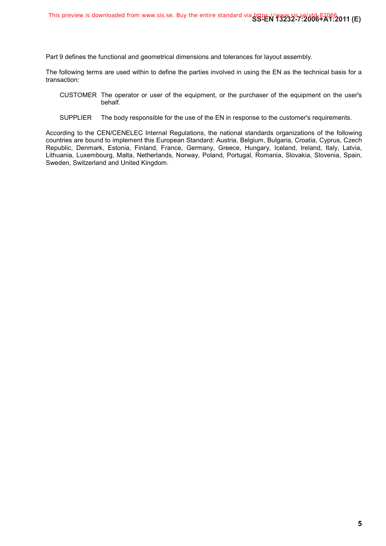Part 9 defines the functional and geometrical dimensions and tolerances for layout assembly.

The following terms are used within to define the parties involved in using the EN as the technical basis for a transaction:

- CUSTOMER The operator or user of the equipment, or the purchaser of the equipment on the user's behalf.
- SUPPLIER The body responsible for the use of the EN in response to the customer's requirements.

According to the CEN/CENELEC Internal Regulations, the national standards organizations of the following countries are bound to implement this European Standard: Austria, Belgium, Bulgaria, Croatia, Cyprus, Czech Republic, Denmark, Estonia, Finland, France, Germany, Greece, Hungary, Iceland, Ireland, Italy, Latvia, Lithuania, Luxembourg, Malta, Netherlands, Norway, Poland, Portugal, Romania, Slovakia, Slovenia, Spain, Sweden, Switzerland and United Kingdom.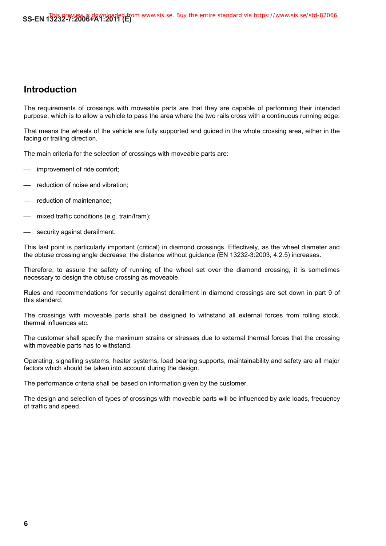### **Introduction**

The requirements of crossings with moveable parts are that they are capable of performing their intended purpose, which is to allow a vehicle to pass the area where the two rails cross with a continuous running edge.

That means the wheels of the vehicle are fully supported and guided in the whole crossing area, either in the facing or trailing direction.

The main criteria for the selection of crossings with moveable parts are:

- improvement of ride comfort;
- reduction of noise and vibration;
- reduction of maintenance:
- mixed traffic conditions (e.g. train/tram);
- security against derailment.

This last point is particularly important (critical) in diamond crossings. Effectively, as the wheel diameter and the obtuse crossing angle decrease, the distance without guidance (EN 13232-3:2003, 4.2.5) increases.

Therefore, to assure the safety of running of the wheel set over the diamond crossing, it is sometimes necessary to design the obtuse crossing as moveable.

Rules and recommendations for security against derailment in diamond crossings are set down in part 9 of this standard.

The crossings with moveable parts shall be designed to withstand all external forces from rolling stock, thermal influences etc.

The customer shall specify the maximum strains or stresses due to external thermal forces that the crossing with moveable parts has to withstand.

Operating, signalling systems, heater systems, load bearing supports, maintainability and safety are all major factors which should be taken into account during the design.

The performance criteria shall be based on information given by the customer.

The design and selection of types of crossings with moveable parts will be influenced by axle loads, frequency of traffic and speed.